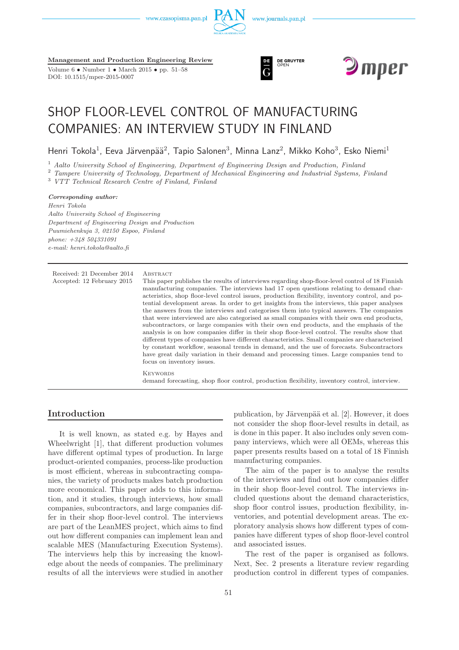www.journals.pan.pl



**Management and Production Engineering Review**

Volume 6 • Number 1 • March 2015 • pp. 51–58 DOI: 10.1515/mper-2015-0007





# SHOP FLOOR-LEVEL CONTROL OF MANUFACTURING COMPANIES: AN INTERVIEW STUDY IN FINLAND

Henri Tokola<sup>1</sup>, Eeva Järvenpää $^2$ , Tapio Salonen $^3$ , Minna Lanz $^2$ , Mikko Koho $^3$ , Esko Niemi $^1$ 

<sup>1</sup> *Aalto University School of Engineering, Department of Engineering Design and Production, Finland*

<sup>2</sup> *Tampere University of Technology, Department of Mechanical Engineering and Industrial Systems, Finland*

<sup>3</sup> *VTT Technical Research Centre of Finland, Finland*

#### *Corresponding author:*

*Henri Tokola Aalto University School of Engineering Department of Engineering Design and Production Puumiehenkuja 3, 02150 Espoo, Finland phone: +348 504331091 e-mail: henri.tokola@aalto.fi*

Received: 21 December 2014 ABSTRACT Accepted: 12 February 2015 This paper publishes the results of interviews regarding shop-floor-level control of 18 Finnish manufacturing companies. The interviews had 17 open questions relating to demand characteristics, shop floor-level control issues, production flexibility, inventory control, and potential development areas. In order to get insights from the interviews, this paper analyses the answers from the interviews and categorises them into typical answers. The companies that were interviewed are also categorised as small companies with their own end products, subcontractors, or large companies with their own end products, and the emphasis of the analysis is on how companies differ in their shop floor-level control. The results show that different types of companies have different characteristics. Small companies are characterised by constant workflow, seasonal trends in demand, and the use of forecasts. Subcontractors have great daily variation in their demand and processing times. Large companies tend to focus on inventory issues. **KEYWORDS** demand forecasting, shop floor control, production flexibility, inventory control, interview.

# **Introduction**

It is well known, as stated e.g. by Hayes and Wheelwright [1], that different production volumes have different optimal types of production. In large product-oriented companies, process-like production is most efficient, whereas in subcontracting companies, the variety of products makes batch production more economical. This paper adds to this information, and it studies, through interviews, how small companies, subcontractors, and large companies differ in their shop floor-level control. The interviews are part of the LeanMES project, which aims to find out how different companies can implement lean and scalable MES (Manufacturing Execution Systems). The interviews help this by increasing the knowledge about the needs of companies. The preliminary results of all the interviews were studied in another publication, by Järvenpää et al. [2]. However, it does not consider the shop floor-level results in detail, as is done in this paper. It also includes only seven company interviews, which were all OEMs, whereas this paper presents results based on a total of 18 Finnish manufacturing companies.

The aim of the paper is to analyse the results of the interviews and find out how companies differ in their shop floor-level control. The interviews included questions about the demand characteristics, shop floor control issues, production flexibility, inventories, and potential development areas. The exploratory analysis shows how different types of companies have different types of shop floor-level control and associated issues.

The rest of the paper is organised as follows. Next, Sec. 2 presents a literature review regarding production control in different types of companies.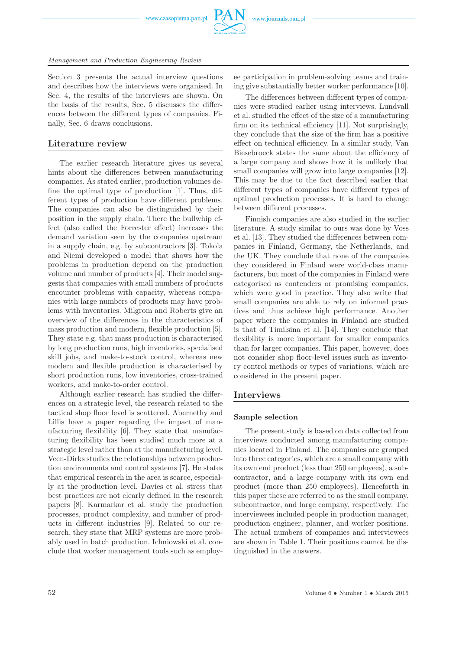

Section 3 presents the actual interview questions and describes how the interviews were organised. In Sec. 4, the results of the interviews are shown. On the basis of the results, Sec. 5 discusses the differences between the different types of companies. Finally, Sec. 6 draws conclusions.

# **Literature review**

The earlier research literature gives us several hints about the differences between manufacturing companies. As stated earlier, production volumes define the optimal type of production [1]. Thus, different types of production have different problems. The companies can also be distinguished by their position in the supply chain. There the bullwhip effect (also called the Forrester effect) increases the demand variation seen by the companies upstream in a supply chain, e.g. by subcontractors [3]. Tokola and Niemi developed a model that shows how the problems in production depend on the production volume and number of products [4]. Their model suggests that companies with small numbers of products encounter problems with capacity, whereas companies with large numbers of products may have problems with inventories. Milgrom and Roberts give an overview of the differences in the characteristics of mass production and modern, flexible production [5]. They state e.g. that mass production is characterised by long production runs, high inventories, specialised skill jobs, and make-to-stock control, whereas new modern and flexible production is characterised by short production runs, low inventories, cross-trained workers, and make-to-order control.

Although earlier research has studied the differences on a strategic level, the research related to the tactical shop floor level is scattered. Abernethy and Lillis have a paper regarding the impact of manufacturing flexibility [6]. They state that manufacturing flexibility has been studied much more at a strategic level rather than at the manufacturing level. Veen-Dirks studies the relationships between production environments and control systems [7]. He states that empirical research in the area is scarce, especially at the production level. Davies et al. stress that best practices are not clearly defined in the research papers [8]. Karmarkar et al. study the production processes, product complexity, and number of products in different industries [9]. Related to our research, they state that MRP systems are more probably used in batch production. Ichniowski et al. conclude that worker management tools such as employ-

ee participation in problem-solving teams and training give substantially better worker performance [10].

The differences between different types of companies were studied earlier using interviews. Lundvall et al. studied the effect of the size of a manufacturing firm on its technical efficiency [11]. Not surprisingly, they conclude that the size of the firm has a positive effect on technical efficiency. In a similar study, Van Biesebroeck states the same about the efficiency of a large company and shows how it is unlikely that small companies will grow into large companies [12]. This may be due to the fact described earlier that different types of companies have different types of optimal production processes. It is hard to change between different processes.

Finnish companies are also studied in the earlier literature. A study similar to ours was done by Voss et al. [13]. They studied the differences between companies in Finland, Germany, the Netherlands, and the UK. They conclude that none of the companies they considered in Finland were world-class manufacturers, but most of the companies in Finland were categorised as contenders or promising companies, which were good in practice. They also write that small companies are able to rely on informal practices and thus achieve high performance. Another paper where the companies in Finland are studied is that of Timilsina et al. [14]. They conclude that flexibility is more important for smaller companies than for larger companies. This paper, however, does not consider shop floor-level issues such as inventory control methods or types of variations, which are considered in the present paper.

# **Interviews**

#### **Sample selection**

The present study is based on data collected from interviews conducted among manufacturing companies located in Finland. The companies are grouped into three categories, which are a small company with its own end product (less than 250 employees), a subcontractor, and a large company with its own end product (more than 250 employees). Henceforth in this paper these are referred to as the small company, subcontractor, and large company, respectively. The interviewees included people in production manager, production engineer, planner, and worker positions. The actual numbers of companies and interviewees are shown in Table 1. Their positions cannot be distinguished in the answers.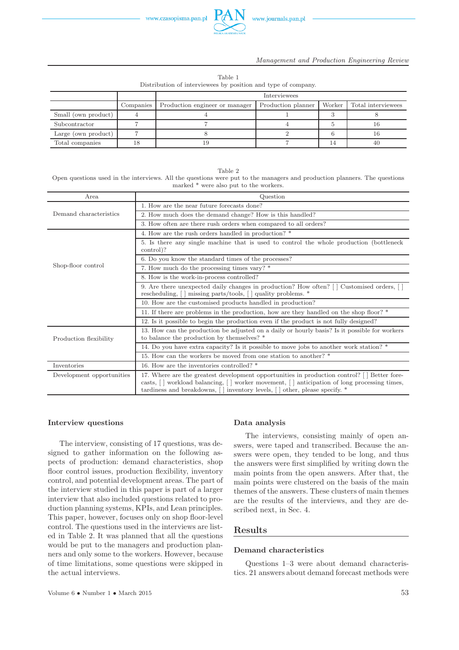

*Management and Production Engineering Review*

| Distribution of much vieweds by position and type of company. |           |                                |                    |        |                    |  |
|---------------------------------------------------------------|-----------|--------------------------------|--------------------|--------|--------------------|--|
|                                                               |           | Interviewees                   |                    |        |                    |  |
|                                                               | Companies | Production engineer or manager | Production planner | Worker | Total interviewees |  |
| Small (own product)                                           |           |                                |                    |        |                    |  |
| Subcontractor                                                 |           |                                |                    |        | 16                 |  |
| Large (own product)                                           |           |                                |                    |        |                    |  |
| Total companies                                               | 18        |                                |                    |        | 40                 |  |

Table 1<br>s by position Distribution of interviewees by position and type of company.

Table 2 Open questions used in the interviews. All the questions were put to the managers and production planners. The questions marked \* were also put to the workers.

| Area.                     | Question                                                                                                                                                                                                                                                                                                       |  |  |  |
|---------------------------|----------------------------------------------------------------------------------------------------------------------------------------------------------------------------------------------------------------------------------------------------------------------------------------------------------------|--|--|--|
|                           | 1. How are the near future forecasts done?                                                                                                                                                                                                                                                                     |  |  |  |
| Demand characteristics    | 2. How much does the demand change? How is this handled?                                                                                                                                                                                                                                                       |  |  |  |
|                           | 3. How often are there rush orders when compared to all orders?                                                                                                                                                                                                                                                |  |  |  |
| Shop-floor control        | 4. How are the rush orders handled in production? *                                                                                                                                                                                                                                                            |  |  |  |
|                           | 5. Is there any single machine that is used to control the whole production (bottleneck<br>control?                                                                                                                                                                                                            |  |  |  |
|                           | 6. Do you know the standard times of the processes?                                                                                                                                                                                                                                                            |  |  |  |
|                           | 7. How much do the processing times vary? *                                                                                                                                                                                                                                                                    |  |  |  |
|                           | 8. How is the work-in-process controlled?                                                                                                                                                                                                                                                                      |  |  |  |
|                           | 9. Are there unexpected daily changes in production? How often? [] Customised orders, []<br>rescheduling, [] missing parts/tools, [] quality problems. *                                                                                                                                                       |  |  |  |
|                           | 10. How are the customised products handled in production?                                                                                                                                                                                                                                                     |  |  |  |
|                           | 11. If there are problems in the production, how are they handled on the shop floor? *                                                                                                                                                                                                                         |  |  |  |
|                           | 12. Is it possible to begin the production even if the product is not fully designed?                                                                                                                                                                                                                          |  |  |  |
| Production flexibility    | 13. How can the production be adjusted on a daily or hourly basis? Is it possible for workers<br>to balance the production by themselves? *                                                                                                                                                                    |  |  |  |
|                           | 14. Do you have extra capacity? Is it possible to move jobs to another work station? *                                                                                                                                                                                                                         |  |  |  |
|                           | 15. How can the workers be moved from one station to another? *                                                                                                                                                                                                                                                |  |  |  |
| Inventories               | 16. How are the inventories controlled? *                                                                                                                                                                                                                                                                      |  |  |  |
| Development opportunities | 17. Where are the greatest development opportunities in production control? [] Better fore-<br>casts, [] workload balancing, [] worker movement, [] anticipation of long processing times,<br>tardiness and breakdowns, $\lceil \cdot \rceil$ inventory levels, $\lceil \cdot \rceil$ other, please specify. * |  |  |  |

#### **Interview questions**

The interview, consisting of 17 questions, was designed to gather information on the following aspects of production: demand characteristics, shop floor control issues, production flexibility, inventory control, and potential development areas. The part of the interview studied in this paper is part of a larger interview that also included questions related to production planning systems, KPIs, and Lean principles. This paper, however, focuses only on shop floor-level control. The questions used in the interviews are listed in Table 2. It was planned that all the questions would be put to the managers and production planners and only some to the workers. However, because of time limitations, some questions were skipped in the actual interviews.

#### **Data analysis**

The interviews, consisting mainly of open answers, were taped and transcribed. Because the answers were open, they tended to be long, and thus the answers were first simplified by writing down the main points from the open answers. After that, the main points were clustered on the basis of the main themes of the answers. These clusters of main themes are the results of the interviews, and they are described next, in Sec. 4.

# **Results**

#### **Demand characteristics**

Questions 1–3 were about demand characteristics. 21 answers about demand forecast methods were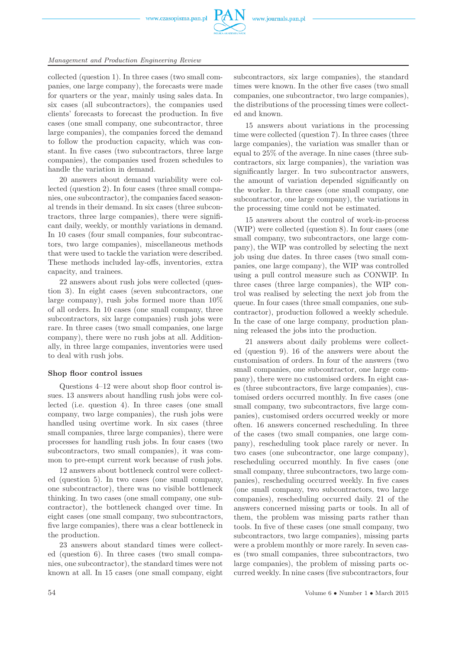

#### *Management and Production Engineering Review*

collected (question 1). In three cases (two small companies, one large company), the forecasts were made for quarters or the year, mainly using sales data. In six cases (all subcontractors), the companies used clients' forecasts to forecast the production. In five cases (one small company, one subcontractor, three large companies), the companies forced the demand to follow the production capacity, which was constant. In five cases (two subcontractors, three large companies), the companies used frozen schedules to handle the variation in demand.

20 answers about demand variability were collected (question 2). In four cases (three small companies, one subcontractor), the companies faced seasonal trends in their demand. In six cases (three subcontractors, three large companies), there were significant daily, weekly, or monthly variations in demand. In 10 cases (four small companies, four subcontractors, two large companies), miscellaneous methods that were used to tackle the variation were described. These methods included lay-offs, inventories, extra capacity, and trainees.

22 answers about rush jobs were collected (question 3). In eight cases (seven subcontractors, one large company), rush jobs formed more than 10% of all orders. In 10 cases (one small company, three subcontractors, six large companies) rush jobs were rare. In three cases (two small companies, one large company), there were no rush jobs at all. Additionally, in three large companies, inventories were used to deal with rush jobs.

#### **Shop floor control issues**

Questions 4–12 were about shop floor control issues. 13 answers about handling rush jobs were collected (i.e. question 4). In three cases (one small company, two large companies), the rush jobs were handled using overtime work. In six cases (three small companies, three large companies), there were processes for handling rush jobs. In four cases (two subcontractors, two small companies), it was common to pre-empt current work because of rush jobs.

12 answers about bottleneck control were collected (question 5). In two cases (one small company, one subcontractor), there was no visible bottleneck thinking. In two cases (one small company, one subcontractor), the bottleneck changed over time. In eight cases (one small company, two subcontractors, five large companies), there was a clear bottleneck in the production.

23 answers about standard times were collected (question 6). In three cases (two small companies, one subcontractor), the standard times were not known at all. In 15 cases (one small company, eight subcontractors, six large companies), the standard times were known. In the other five cases (two small companies, one subcontractor, two large companies), the distributions of the processing times were collected and known.

15 answers about variations in the processing time were collected (question 7). In three cases (three large companies), the variation was smaller than or equal to 25% of the average. In nine cases (three subcontractors, six large companies), the variation was significantly larger. In two subcontractor answers, the amount of variation depended significantly on the worker. In three cases (one small company, one subcontractor, one large company), the variations in the processing time could not be estimated.

15 answers about the control of work-in-process (WIP) were collected (question 8). In four cases (one small company, two subcontractors, one large company), the WIP was controlled by selecting the next job using due dates. In three cases (two small companies, one large company), the WIP was controlled using a pull control measure such as CONWIP. In three cases (three large companies), the WIP control was realised by selecting the next job from the queue. In four cases (three small companies, one subcontractor), production followed a weekly schedule. In the case of one large company, production planning released the jobs into the production.

21 answers about daily problems were collected (question 9). 16 of the answers were about the customisation of orders. In four of the answers (two small companies, one subcontractor, one large company), there were no customised orders. In eight cases (three subcontractors, five large companies), customised orders occurred monthly. In five cases (one small company, two subcontractors, five large companies), customised orders occurred weekly or more often. 16 answers concerned rescheduling. In three of the cases (two small companies, one large company), rescheduling took place rarely or never. In two cases (one subcontractor, one large company), rescheduling occurred monthly. In five cases (one small company, three subcontractors, two large companies), rescheduling occurred weekly. In five cases (one small company, two subcontractors, two large companies), rescheduling occurred daily. 21 of the answers concerned missing parts or tools. In all of them, the problem was missing parts rather than tools. In five of these cases (one small company, two subcontractors, two large companies), missing parts were a problem monthly or more rarely. In seven cases (two small companies, three subcontractors, two large companies), the problem of missing parts occurred weekly. In nine cases (five subcontractors, four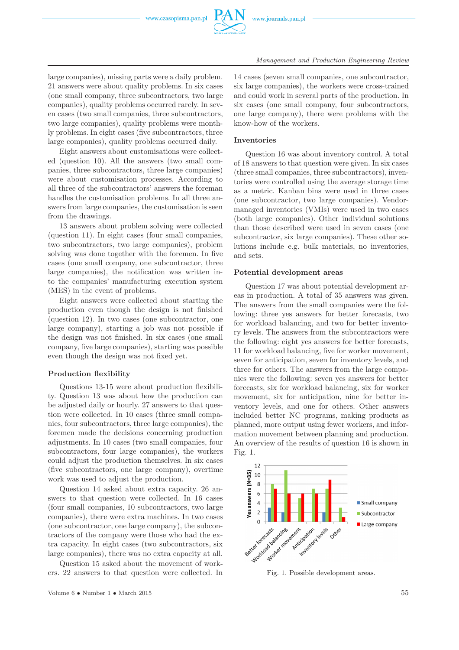

large companies), missing parts were a daily problem. 21 answers were about quality problems. In six cases (one small company, three subcontractors, two large companies), quality problems occurred rarely. In seven cases (two small companies, three subcontractors, two large companies), quality problems were monthly problems. In eight cases (five subcontractors, three large companies), quality problems occurred daily.

Eight answers about customisations were collected (question 10). All the answers (two small companies, three subcontractors, three large companies) were about customisation processes. According to all three of the subcontractors' answers the foreman handles the customisation problems. In all three answers from large companies, the customisation is seen from the drawings.

13 answers about problem solving were collected (question 11). In eight cases (four small companies, two subcontractors, two large companies), problem solving was done together with the foremen. In five cases (one small company, one subcontractor, three large companies), the notification was written into the companies' manufacturing execution system (MES) in the event of problems.

Eight answers were collected about starting the production even though the design is not finished (question 12). In two cases (one subcontractor, one large company), starting a job was not possible if the design was not finished. In six cases (one small company, five large companies), starting was possible even though the design was not fixed yet.

#### **Production flexibility**

Questions 13-15 were about production flexibility. Question 13 was about how the production can be adjusted daily or hourly. 27 answers to that question were collected. In 10 cases (three small companies, four subcontractors, three large companies), the foremen made the decisions concerning production adjustments. In 10 cases (two small companies, four subcontractors, four large companies), the workers could adjust the production themselves. In six cases (five subcontractors, one large company), overtime work was used to adjust the production.

Question 14 asked about extra capacity. 26 answers to that question were collected. In 16 cases (four small companies, 10 subcontractors, two large companies), there were extra machines. In two cases (one subcontractor, one large company), the subcontractors of the company were those who had the extra capacity. In eight cases (two subcontractors, six large companies), there was no extra capacity at all.

Question 15 asked about the movement of workers. 22 answers to that question were collected. In

14 cases (seven small companies, one subcontractor, six large companies), the workers were cross-trained and could work in several parts of the production. In six cases (one small company, four subcontractors, one large company), there were problems with the know-how of the workers.

#### **Inventories**

Question 16 was about inventory control. A total of 18 answers to that question were given. In six cases (three small companies, three subcontractors), inventories were controlled using the average storage time as a metric. Kanban bins were used in three cases (one subcontractor, two large companies). Vendormanaged inventories (VMIs) were used in two cases (both large companies). Other individual solutions than those described were used in seven cases (one subcontractor, six large companies). These other solutions include e.g. bulk materials, no inventories, and sets.

#### **Potential development areas**

Question 17 was about potential development areas in production. A total of 35 answers was given. The answers from the small companies were the following: three yes answers for better forecasts, two for workload balancing, and two for better inventory levels. The answers from the subcontractors were the following: eight yes answers for better forecasts, 11 for workload balancing, five for worker movement, seven for anticipation, seven for inventory levels, and three for others. The answers from the large companies were the following: seven yes answers for better forecasts, six for workload balancing, six for worker movement, six for anticipation, nine for better inventory levels, and one for others. Other answers included better NC programs, making products as planned, more output using fewer workers, and information movement between planning and production. An overview of the results of question 16 is shown in Fig. 1.



Fig. 1. Possible development areas.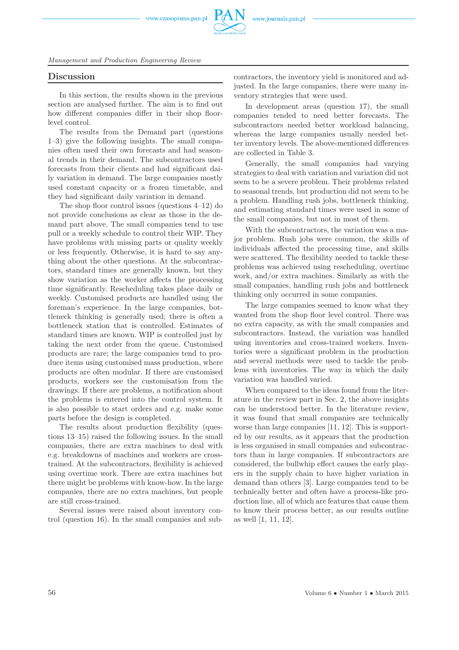

*Management and Production Engineering Review*

## **Discussion**

In this section, the results shown in the previous section are analysed further. The aim is to find out how different companies differ in their shop floorlevel control.

The results from the Demand part (questions 1–3) give the following insights. The small companies often used their own forecasts and had seasonal trends in their demand. The subcontractors used forecasts from their clients and had significant daily variation in demand. The large companies mostly used constant capacity or a frozen timetable, and they had significant daily variation in demand.

The shop floor control issues (questions 4–12) do not provide conclusions as clear as those in the demand part above. The small companies tend to use pull or a weekly schedule to control their WIP. They have problems with missing parts or quality weekly or less frequently. Otherwise, it is hard to say anything about the other questions. At the subcontractors, standard times are generally known, but they show variation as the worker affects the processing time significantly. Rescheduling takes place daily or weekly. Customised products are handled using the foreman's experience. In the large companies, bottleneck thinking is generally used; there is often a bottleneck station that is controlled. Estimates of standard times are known. WIP is controlled just by taking the next order from the queue. Customised products are rare; the large companies tend to produce items using customised mass production, where products are often modular. If there are customised products, workers see the customisation from the drawings. If there are problems, a notification about the problems is entered into the control system. It is also possible to start orders and e.g. make some parts before the design is completed.

The results about production flexibility (questions 13–15) raised the following issues. In the small companies, there are extra machines to deal with e.g. breakdowns of machines and workers are crosstrained. At the subcontractors, flexibility is achieved using overtime work. There are extra machines but there might be problems with know-how. In the large companies, there are no extra machines, but people are still cross-trained.

Several issues were raised about inventory control (question 16). In the small companies and sub-

contractors, the inventory yield is monitored and adjusted. In the large companies, there were many inventory strategies that were used.

In development areas (question 17), the small companies tended to need better forecasts. The subcontractors needed better workload balancing, whereas the large companies usually needed better inventory levels. The above-mentioned differences are collected in Table 3.

Generally, the small companies had varying strategies to deal with variation and variation did not seem to be a severe problem. Their problems related to seasonal trends, but production did not seem to be a problem. Handling rush jobs, bottleneck thinking, and estimating standard times were used in some of the small companies, but not in most of them.

With the subcontractors, the variation was a major problem. Rush jobs were common, the skills of individuals affected the processing time, and skills were scattered. The flexibility needed to tackle these problems was achieved using rescheduling, overtime work, and/or extra machines. Similarly as with the small companies, handling rush jobs and bottleneck thinking only occurred in some companies.

The large companies seemed to know what they wanted from the shop floor level control. There was no extra capacity, as with the small companies and subcontractors. Instead, the variation was handled using inventories and cross-trained workers. Inventories were a significant problem in the production and several methods were used to tackle the problems with inventories. The way in which the daily variation was handled varied.

When compared to the ideas found from the literature in the review part in Sec. 2, the above insights can be understood better. In the literature review, it was found that small companies are technically worse than large companies [11, 12]. This is supported by our results, as it appears that the production is less organised in small companies and subcontractors than in large companies. If subcontractors are considered, the bullwhip effect causes the early players in the supply chain to have higher variation in demand than others [3]. Large companies tend to be technically better and often have a process-like production line, all of which are features that cause them to know their process better, as our results outline as well [1, 11, 12].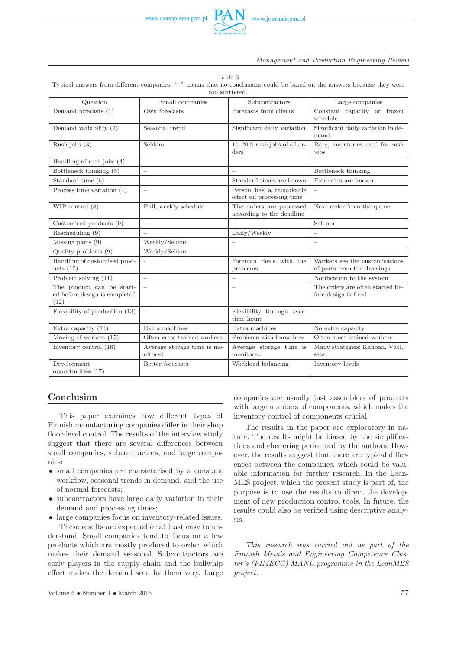too scattered. Question Small companies Subcontractors Large companies Demand forecasts (1) Own forecasts Forecasts From clients Constant capacity or frozen schedule Demand variability (2) Seasonal trend Significant daily variation Significant daily variation in demand Rush jobs (3) Seldom 10–20% rush jobs of all orders Rare, inventories used for rush jobs Handling of rush jobs  $(4)$ Bottleneck thinking (5) – – – Bottleneck thinking by the set of the Bottleneck thinking by the set of the Bottleneck thinking in the set of the set of the set of the set of the set of the set of the set of the set of the s Standard time (6) – Standard times are known Estimates are known Process time variation  $(7)$   $\qquad$  – Person has a remarkable effect on processing time – WIP control  $(8)$  Pull, weekly schedule The orders are processed according to the deadline Next order from the queue Customised products (9) – – Seldom Rescheduling (9) – Daily/Weekly Missing parts (9) Weekly/Seldom Quality problems (9) Weekly/Seldom Handling of customised products (10) Foreman deals with the problems Workers see the customisations of parts from the drawings Problem solving (11) – – Notification to the system The product can be started before design is completed  $(12)$ The orders are often started before design is fixed Flexibility of production (13)  $\vert$  - Flexibility through overtime hours – Extra capacity (14) Extra machines Extra machines No extra capacity Moving of workers (15) Often cross-trained workers Problems with know-how Often cross-trained workers Inventory control (16) Average storage time is monitored Average storage time is monitored Many strategies: Kanban, VMI, sets Development opportunities (17) Better forecasts Workload balancing Inventory levels

# Table 3

Typical answers from different companies. "–" means that no conclusions could be based on the answers because they were

# **Conclusion**

This paper examines how different types of Finnish manufacturing companies differ in their shop floor-level control. The results of the interview study suggest that there are several differences between small companies, subcontractors, and large companies:

- small companies are characterised by a constant workflow, seasonal trends in demand, and the use of normal forecasts;
- subcontractors have large daily variation in their demand and processing times;
- large companies focus on inventory-related issues. These results are expected or at least easy to un-

derstand. Small companies tend to focus on a few products which are mostly produced to order, which makes their demand seasonal. Subcontractors are early players in the supply chain and the bullwhip effect makes the demand seen by them vary. Large

companies are usually just assemblers of products with large numbers of components, which makes the inventory control of components crucial.

The results in the paper are exploratory in nature. The results might be biased by the simplifications and clustering performed by the authors. However, the results suggest that there are typical differences between the companies, which could be valuable information for further research. In the Lean-MES project, which the present study is part of, the purpose is to use the results to direct the development of new production control tools. In future, the results could also be verified using descriptive analysis.

*This research was carried out as part of the Finnish Metals and Engineering Competence Cluster's (FIMECC) MANU programme in the LeanMES project.*